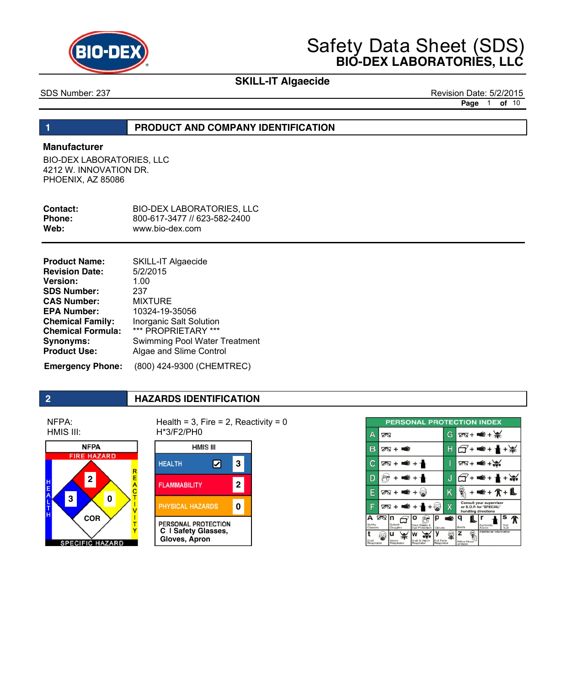

# **SKILL-IT Algaecide**

SDS Number: 237 Revision Date: 5/2/2015 **Page** 1 **of** 10

### **1 PRODUCT AND COMPANY IDENTIFICATION**

### **Manufacturer**

BIO-DEX LABORATORIES, LLC 4212 W. INNOVATION DR. PHOENIX, AZ 85086

| Contact:      | <b>BIO-DEX LABORATORIES. LLC</b> |
|---------------|----------------------------------|
| <b>Phone:</b> | 800-617-3477 // 623-582-2400     |
| Web:          | www.bio-dex.com                  |

| <b>Product Name:</b>     | <b>SKILL-IT Algaecide</b>            |
|--------------------------|--------------------------------------|
| <b>Revision Date:</b>    | 5/2/2015                             |
| <b>Version:</b>          | 1.00                                 |
| <b>SDS Number:</b>       | 237                                  |
| <b>CAS Number:</b>       | <b>MIXTURE</b>                       |
| <b>EPA Number:</b>       | 10324-19-35056                       |
| <b>Chemical Family:</b>  | Inorganic Salt Solution              |
| <b>Chemical Formula:</b> | *** PROPRIETARY ***                  |
| <b>Synonyms:</b>         | <b>Swimming Pool Water Treatment</b> |
| <b>Product Use:</b>      | Algae and Slime Control              |
|                          |                                      |

 **Emergency Phone:** (800) 424-9300 (CHEMTREC)

## **2 HAZARDS IDENTIFICATION**

NFPA: HMIS III:



Health =  $3$ , Fire =  $2$ , Reactivity =  $0$ H\*3/F2/PH0



| <b>PERSONAL PROTECTION INDEX</b> |                                                                                   |   |                                                                           |
|----------------------------------|-----------------------------------------------------------------------------------|---|---------------------------------------------------------------------------|
| Δ                                | ∞                                                                                 | G | $78 + 4 + 36$                                                             |
| B                                | <b>MAGE</b><br>তম +                                                               | Н | ∎€+ 1                                                                     |
| C                                | 2™ + <del>=</del> + ∗                                                             |   | ⊠+ ≇≇ +৯                                                                  |
| D                                | ⋹                                                                                 | J | €+                                                                        |
| E                                | তম +া<br>Œ.                                                                       | Κ | <b>∉+介+i</b>                                                              |
| G                                | তম +                                                                              | χ | Consult your supervisor<br>or S.O.P. for "SPECIAL"<br>handling directions |
| А<br>Safety<br>Glasses           | তে ⊓<br>ρ<br>D<br>Splash<br>Face Shield & Gloves<br>Goggles                       | ⊯ | s<br>Synthetic<br>Full<br>Boots<br>Apron<br>Suit                          |
| Dust<br>Respirator               | u<br>Dust & Vapor<br>Full Face<br>Vapor<br>Respirator<br>Respirator<br>Respirator |   | Additional Information<br>z<br>Airline Hood<br>or Mask                    |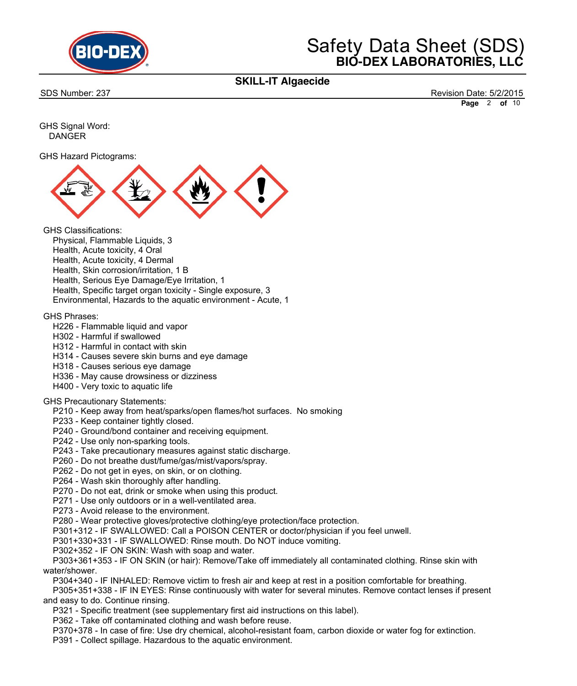

## **SKILL-IT Algaecide**

SDS Number: 237 Revision Date: 5/2/2015 **Page** 2 **of** 10

GHS Signal Word: DANGER

GHS Hazard Pictograms:



GHS Classifications:

- Physical, Flammable Liquids, 3 Health, Acute toxicity, 4 Oral Health, Acute toxicity, 4 Dermal Health, Skin corrosion/irritation, 1 B Health, Serious Eye Damage/Eye Irritation, 1 Health, Specific target organ toxicity - Single exposure, 3
- Environmental, Hazards to the aquatic environment Acute, 1

GHS Phrases:

- H226 Flammable liquid and vapor
- H302 Harmful if swallowed
- H312 Harmful in contact with skin
- H314 Causes severe skin burns and eye damage
- H318 Causes serious eye damage
- H336 May cause drowsiness or dizziness
- H400 Very toxic to aquatic life

### GHS Precautionary Statements:

- P210 Keep away from heat/sparks/open flames/hot surfaces. No smoking
- P233 Keep container tightly closed.
- P240 Ground/bond container and receiving equipment.
- P242 Use only non-sparking tools.
- P243 Take precautionary measures against static discharge.
- P260 Do not breathe dust/fume/gas/mist/vapors/spray.
- P262 Do not get in eyes, on skin, or on clothing.
- P264 Wash skin thoroughly after handling.
- P270 Do not eat, drink or smoke when using this product.
- P271 Use only outdoors or in a well-ventilated area.
- P273 Avoid release to the environment.
- P280 Wear protective gloves/protective clothing/eye protection/face protection.
- P301+312 IF SWALLOWED: Call a POISON CENTER or doctor/physician if you feel unwell.
- P301+330+331 IF SWALLOWED: Rinse mouth. Do NOT induce vomiting.
- P302+352 IF ON SKIN: Wash with soap and water.
- P303+361+353 IF ON SKIN (or hair): Remove/Take off immediately all contaminated clothing. Rinse skin with water/shower.
	- P304+340 IF INHALED: Remove victim to fresh air and keep at rest in a position comfortable for breathing.
- P305+351+338 IF IN EYES: Rinse continuously with water for several minutes. Remove contact lenses if present and easy to do. Continue rinsing.
	- P321 Specific treatment (see supplementary first aid instructions on this label).
	- P362 Take off contaminated clothing and wash before reuse.
	- P370+378 In case of fire: Use dry chemical, alcohol-resistant foam, carbon dioxide or water fog for extinction.
	- P391 Collect spillage. Hazardous to the aquatic environment.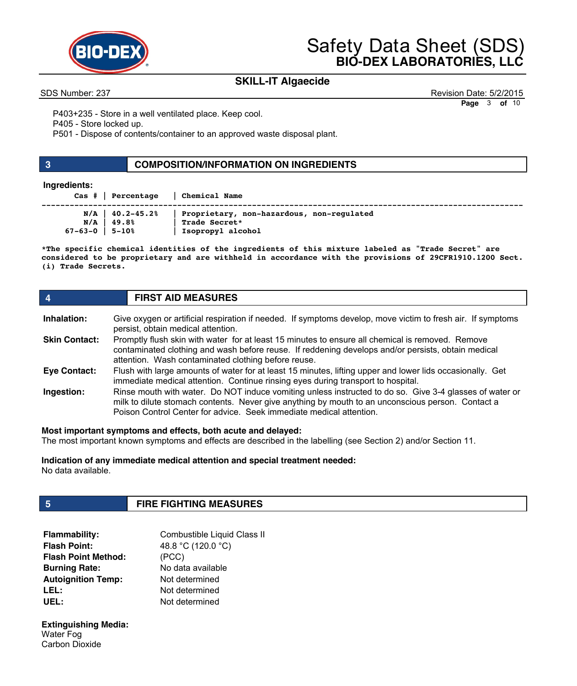

# **SKILL-IT Algaecide**

SDS Number: 237 Revision Date: 5/2/2015 **Page** 3 **of** 10

P403+235 - Store in a well ventilated place. Keep cool.

P405 - Store locked up.

P501 - Dispose of contents/container to an approved waste disposal plant.

### **3 COMPOSITION/INFORMATION ON INGREDIENTS**

### **Ingredients:**

| $\texttt{Cas}$ $\parallel$ Percentage                       | <b>Chemical Name</b>                                                            |
|-------------------------------------------------------------|---------------------------------------------------------------------------------|
| $N/A$   40.2-45.2%<br>N/A<br>49.8%<br>$67 - 63 - 0$   5-10% | Proprietary, non-hazardous, non-regulated<br>Trade Secret*<br>Isopropyl alcohol |

**\*The specific chemical identities of the ingredients of this mixture labeled as "Trade Secret" are considered to be proprietary and are withheld in accordance with the provisions of 29CFR1910.1200 Sect. (i) Trade Secrets.** 

| 4                    | <b>FIRST AID MEASURES</b>                                                                                                                                                                                                                                                           |  |
|----------------------|-------------------------------------------------------------------------------------------------------------------------------------------------------------------------------------------------------------------------------------------------------------------------------------|--|
| Inhalation:          | Give oxygen or artificial respiration if needed. If symptoms develop, move victim to fresh air. If symptoms<br>persist, obtain medical attention.                                                                                                                                   |  |
| <b>Skin Contact:</b> | Promptly flush skin with water for at least 15 minutes to ensure all chemical is removed. Remove<br>contaminated clothing and wash before reuse. If reddening develops and/or persists, obtain medical<br>attention. Wash contaminated clothing before reuse.                       |  |
| Eye Contact:         | Flush with large amounts of water for at least 15 minutes, lifting upper and lower lids occasionally. Get<br>immediate medical attention. Continue rinsing eyes during transport to hospital.                                                                                       |  |
| Ingestion:           | Rinse mouth with water. Do NOT induce vomiting unless instructed to do so. Give 3-4 glasses of water or<br>milk to dilute stomach contents. Never give anything by mouth to an unconscious person. Contact a<br>Poison Control Center for advice. Seek immediate medical attention. |  |

**Most important symptoms and effects, both acute and delayed:**

The most important known symptoms and effects are described in the labelling (see Section 2) and/or Section 11.

**Indication of any immediate medical attention and special treatment needed:** No data available.

# **5 FIRE FIGHTING MEASURES**

| <b>Flammability:</b>       | Combustible Liquid Class II |
|----------------------------|-----------------------------|
| <b>Flash Point:</b>        | 48.8 °C (120.0 °C)          |
| <b>Flash Point Method:</b> | (PCC)                       |
| <b>Burning Rate:</b>       | No data available           |
| <b>Autoignition Temp:</b>  | Not determined              |
| LEL:                       | Not determined              |
| UEL:                       | Not determined              |

**Extinguishing Media:**  Water Fog Carbon Dioxide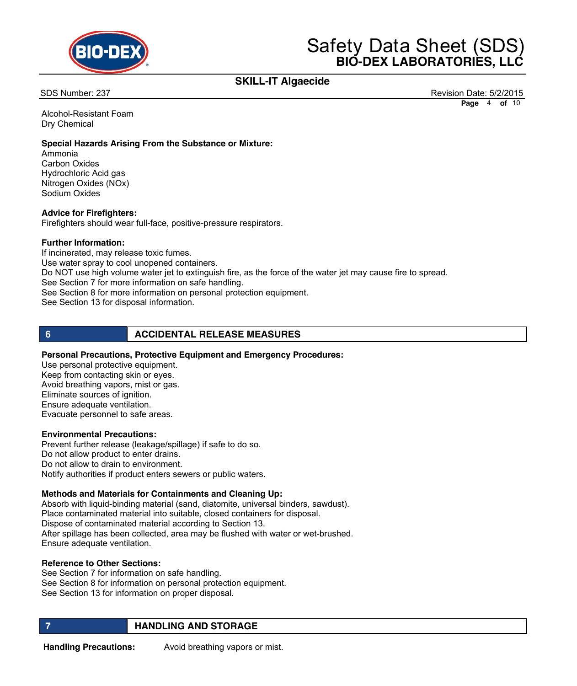

## **SKILL-IT Algaecide**

SDS Number: 237 Revision Date: 5/2/2015 **Page** 4 **of** 10

Alcohol-Resistant Foam Dry Chemical

### **Special Hazards Arising From the Substance or Mixture:**

Ammonia Carbon Oxides Hydrochloric Acid gas Nitrogen Oxides (NOx) Sodium Oxides

### **Advice for Firefighters:**

Firefighters should wear full-face, positive-pressure respirators.

### **Further Information:**

If incinerated, may release toxic fumes. Use water spray to cool unopened containers. Do NOT use high volume water jet to extinguish fire, as the force of the water jet may cause fire to spread. See Section 7 for more information on safe handling. See Section 8 for more information on personal protection equipment. See Section 13 for disposal information.

### **6 ACCIDENTAL RELEASE MEASURES**

### **Personal Precautions, Protective Equipment and Emergency Procedures:**

Use personal protective equipment. Keep from contacting skin or eyes. Avoid breathing vapors, mist or gas. Eliminate sources of ignition. Ensure adequate ventilation. Evacuate personnel to safe areas.

### **Environmental Precautions:**

Prevent further release (leakage/spillage) if safe to do so. Do not allow product to enter drains. Do not allow to drain to environment. Notify authorities if product enters sewers or public waters.

### **Methods and Materials for Containments and Cleaning Up:**

Absorb with liquid-binding material (sand, diatomite, universal binders, sawdust). Place contaminated material into suitable, closed containers for disposal. Dispose of contaminated material according to Section 13. After spillage has been collected, area may be flushed with water or wet-brushed. Ensure adequate ventilation.

### **Reference to Other Sections:**

See Section 7 for information on safe handling. See Section 8 for information on personal protection equipment. See Section 13 for information on proper disposal.

### **FIGURE 12 IN STRUCK AND STORAGE**

**Handling Precautions:** Avoid breathing vapors or mist.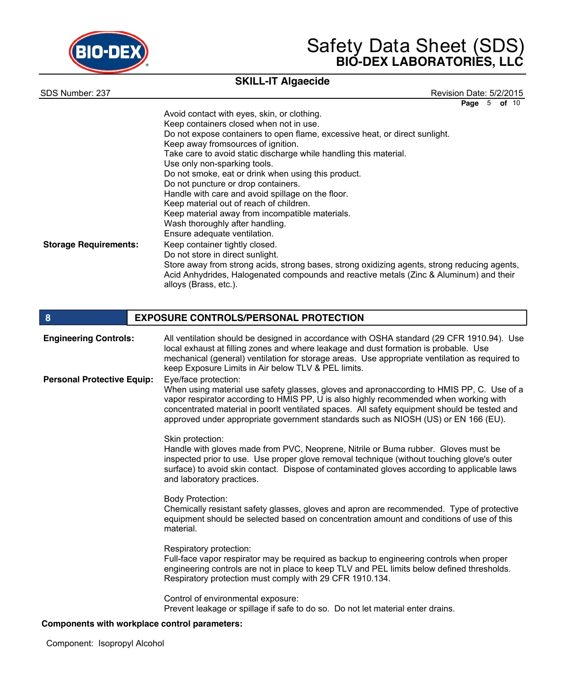

# **SKILL-IT Algaecide**

SDS Number: 237 Revision Date: 5/2/2015 **Page** 5 **of** 10

|                              | Avoid contact with eyes, skin, or clothing.<br>Keep containers closed when not in use.                                                                                                                          |
|------------------------------|-----------------------------------------------------------------------------------------------------------------------------------------------------------------------------------------------------------------|
|                              | Do not expose containers to open flame, excessive heat, or direct sunlight.                                                                                                                                     |
|                              | Keep away fromsources of ignition.                                                                                                                                                                              |
|                              | Take care to avoid static discharge while handling this material.                                                                                                                                               |
|                              | Use only non-sparking tools.                                                                                                                                                                                    |
|                              | Do not smoke, eat or drink when using this product.                                                                                                                                                             |
|                              | Do not puncture or drop containers.                                                                                                                                                                             |
|                              | Handle with care and avoid spillage on the floor.                                                                                                                                                               |
|                              | Keep material out of reach of children.                                                                                                                                                                         |
|                              | Keep material away from incompatible materials.                                                                                                                                                                 |
|                              | Wash thoroughly after handling.                                                                                                                                                                                 |
|                              | Ensure adequate ventilation.                                                                                                                                                                                    |
| <b>Storage Requirements:</b> | Keep container tightly closed.                                                                                                                                                                                  |
|                              | Do not store in direct sunlight.                                                                                                                                                                                |
|                              | Store away from strong acids, strong bases, strong oxidizing agents, strong reducing agents,<br>Acid Anhydrides, Halogenated compounds and reactive metals (Zinc & Aluminum) and their<br>alloys (Brass, etc.). |

| 8                                 | <b>EXPOSURE CONTROLS/PERSONAL PROTECTION</b>                                                                                                                                                                                                                                                                                                                                                     |
|-----------------------------------|--------------------------------------------------------------------------------------------------------------------------------------------------------------------------------------------------------------------------------------------------------------------------------------------------------------------------------------------------------------------------------------------------|
| <b>Engineering Controls:</b>      | All ventilation should be designed in accordance with OSHA standard (29 CFR 1910.94). Use<br>local exhaust at filling zones and where leakage and dust formation is probable. Use<br>mechanical (general) ventilation for storage areas. Use appropriate ventilation as required to<br>keep Exposure Limits in Air below TLV & PEL limits.                                                       |
| <b>Personal Protective Equip:</b> | Eye/face protection:<br>When using material use safety glasses, gloves and apronaccording to HMIS PP, C. Use of a<br>vapor respirator according to HMIS PP, U is also highly recommended when working with<br>concentrated material in poorlt ventilated spaces. All safety equipment should be tested and<br>approved under appropriate government standards such as NIOSH (US) or EN 166 (EU). |
|                                   | Skin protection:<br>Handle with gloves made from PVC, Neoprene, Nitrile or Buma rubber. Gloves must be<br>inspected prior to use. Use proper glove removal technique (without touching glove's outer<br>surface) to avoid skin contact. Dispose of contaminated gloves according to applicable laws<br>and laboratory practices.                                                                 |
|                                   | <b>Body Protection:</b><br>Chemically resistant safety glasses, gloves and apron are recommended. Type of protective<br>equipment should be selected based on concentration amount and conditions of use of this<br>material.                                                                                                                                                                    |
|                                   | Respiratory protection:<br>Full-face vapor respirator may be required as backup to engineering controls when proper<br>engineering controls are not in place to keep TLV and PEL limits below defined thresholds.<br>Respiratory protection must comply with 29 CFR 1910.134.                                                                                                                    |
|                                   | Control of environmental exposure:<br>Prevent leakage or spillage if safe to do so. Do not let material enter drains.<br>ta with washabar aasteal sacaastan i                                                                                                                                                                                                                                    |

### **Components with workplace control parameters:**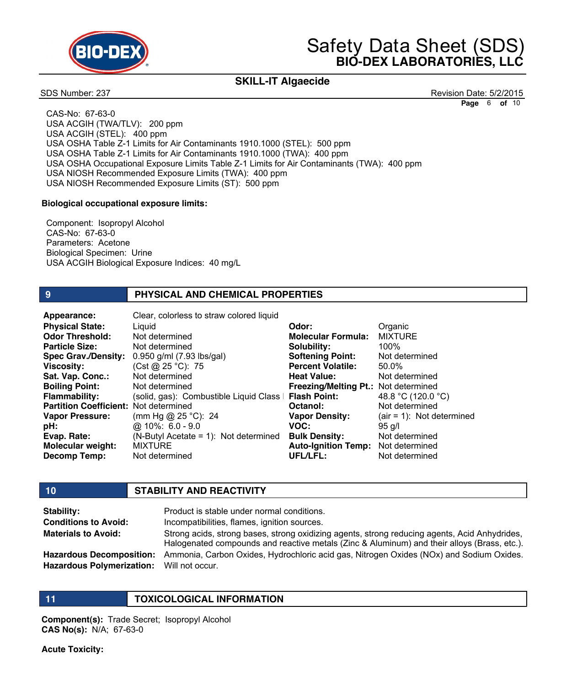

## **SKILL-IT Algaecide**

SDS Number: 237 Revision Date: 5/2/2015 **Page** 6 **of** 10

 CAS-No: 67-63-0 USA ACGIH (TWA/TLV): 200 ppm USA ACGIH (STEL): 400 ppm USA OSHA Table Z-1 Limits for Air Contaminants 1910.1000 (STEL): 500 ppm USA OSHA Table Z-1 Limits for Air Contaminants 1910.1000 (TWA): 400 ppm USA OSHA Occupational Exposure Limits Table Z-1 Limits for Air Contaminants (TWA): 400 ppm USA NIOSH Recommended Exposure Limits (TWA): 400 ppm USA NIOSH Recommended Exposure Limits (ST): 500 ppm

### **Biological occupational exposure limits:**

 Component: Isopropyl Alcohol CAS-No: 67-63-0 Parameters: Acetone Biological Specimen: Urine USA ACGIH Biological Exposure Indices: 40 mg/L

### **9 PHYSICAL AND CHEMICAL PROPERTIES**

Liquid Not determined Not determined 0.950 g/ml (7.93 lbs/gal) (Cst @ 25 °C): 75 Not determined Not determined (solid, gas): Combustible Liquid Class II **Flash Point:** Partition Coefficient: Not determined (mm Hg @ 25 °C): 24 @ 10%: 6.0 - 9.0 (N-Butyl Acetate = 1): Not determined **MIXTURE** Not determined **Physical State: Odor Threshold: Particle Size: Spec Grav./Density: Viscosity: Sat. Vap. Conc.: Boiling Point: Flammability: Vapor Pressure: pH: Evap. Rate: Molecular weight: Decomp Temp: Appearance:** Clear, colorless to straw colored liquid

**Odor: Molecular Formula: Solubility: Softening Point: Percent Volatile: Heat Value: Freezing/Melting Pt.:** Not determined **Octanol: Vapor Density: VOC: Bulk Density: Auto-Ignition Temp:** Not determined **UFL/LFL: Organic** MIXTURE 100% Not determined 50.0% Not determined 48.8 °C (120.0 °C) Not determined (air = 1): Not determined 95 g/l Not determined Not determined

### **10 STABILITY AND REACTIVITY**

| Stability:                                | Product is stable under normal conditions.                                                                                                                                                   |
|-------------------------------------------|----------------------------------------------------------------------------------------------------------------------------------------------------------------------------------------------|
| <b>Conditions to Avoid:</b>               | Incompatibilities, flames, ignition sources.                                                                                                                                                 |
| <b>Materials to Avoid:</b>                | Strong acids, strong bases, strong oxidizing agents, strong reducing agents, Acid Anhydrides,<br>Halogenated compounds and reactive metals (Zinc & Aluminum) and their alloys (Brass, etc.). |
| <b>Hazardous Decomposition:</b>           | Ammonia, Carbon Oxides, Hydrochloric acid gas, Nitrogen Oxides (NOx) and Sodium Oxides.                                                                                                      |
| Hazardous Polymerization: Will not occur. |                                                                                                                                                                                              |

### **11 TOXICOLOGICAL INFORMATION**

**Component(s):** Trade Secret; Isopropyl Alcohol **CAS No(s):** N/A; 67-63-0

**Acute Toxicity:**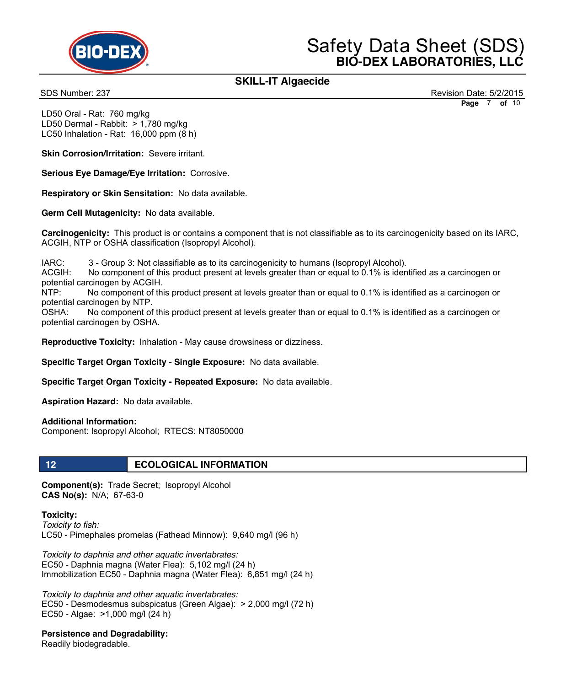

## **SKILL-IT Algaecide**

SDS Number: 237 Revision Date: 5/2/2015 **Page** 7 **of** 10

LD50 Oral - Rat: 760 mg/kg LD50 Dermal - Rabbit: > 1,780 mg/kg LC50 Inhalation - Rat: 16,000 ppm (8 h)

**Skin Corrosion/Irritation: Severe irritant.** 

**Serious Eye Damage/Eye Irritation:** Corrosive.

**Respiratory or Skin Sensitation:** No data available.

**Germ Cell Mutagenicity:** No data available.

**Carcinogenicity:** This product is or contains a component that is not classifiable as to its carcinogenicity based on its IARC, ACGIH, NTP or OSHA classification (Isopropyl Alcohol).

IARC: 3 - Group 3: Not classifiable as to its carcinogenicity to humans (Isopropyl Alcohol).

ACGIH: No component of this product present at levels greater than or equal to 0.1% is identified as a carcinogen or potential carcinogen by ACGIH.

NTP: No component of this product present at levels greater than or equal to 0.1% is identified as a carcinogen or potential carcinogen by NTP.

OSHA: No component of this product present at levels greater than or equal to 0.1% is identified as a carcinogen or potential carcinogen by OSHA.

**Reproductive Toxicity:** Inhalation - May cause drowsiness or dizziness.

**Specific Target Organ Toxicity - Single Exposure:** No data available.

**Specific Target Organ Toxicity - Repeated Exposure:** No data available.

**Aspiration Hazard:** No data available.

**Additional Information:**

Component: Isopropyl Alcohol; RTECS: NT8050000

### **12 ECOLOGICAL INFORMATION**

**Component(s):** Trade Secret; Isopropyl Alcohol **CAS No(s):** N/A; 67-63-0

**Toxicity:**  *Toxicity to fish:* LC50 - Pimephales promelas (Fathead Minnow): 9,640 mg/l (96 h)

*Toxicity to daphnia and other aquatic invertabrates:* EC50 - Daphnia magna (Water Flea): 5,102 mg/l (24 h) Immobilization EC50 - Daphnia magna (Water Flea): 6,851 mg/l (24 h)

*Toxicity to daphnia and other aquatic invertabrates:* EC50 - Desmodesmus subspicatus (Green Algae): > 2,000 mg/l (72 h) EC50 - Algae: >1,000 mg/l (24 h)

### **Persistence and Degradability:**

Readily biodegradable.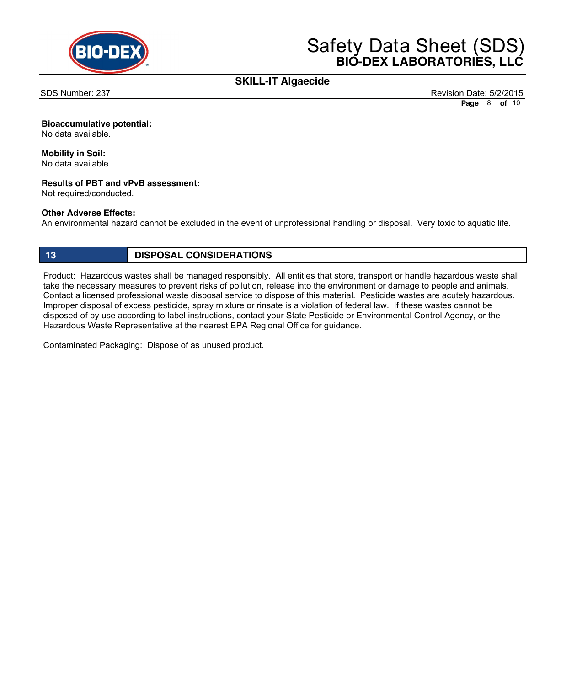

## **SKILL-IT Algaecide**

SDS Number: 237 Revision Date: 5/2/2015 **Page** 8 **of** 10

### **Bioaccumulative potential:**

No data available.

## **Mobility in Soil:**

No data available.

### **Results of PBT and vPvB assessment:**

Not required/conducted.

### **Other Adverse Effects:**

An environmental hazard cannot be excluded in the event of unprofessional handling or disposal. Very toxic to aquatic life.

## **13 DISPOSAL CONSIDERATIONS**

Product: Hazardous wastes shall be managed responsibly. All entities that store, transport or handle hazardous waste shall take the necessary measures to prevent risks of pollution, release into the environment or damage to people and animals. Contact a licensed professional waste disposal service to dispose of this material. Pesticide wastes are acutely hazardous. Improper disposal of excess pesticide, spray mixture or rinsate is a violation of federal law. If these wastes cannot be disposed of by use according to label instructions, contact your State Pesticide or Environmental Control Agency, or the Hazardous Waste Representative at the nearest EPA Regional Office for guidance.

Contaminated Packaging: Dispose of as unused product.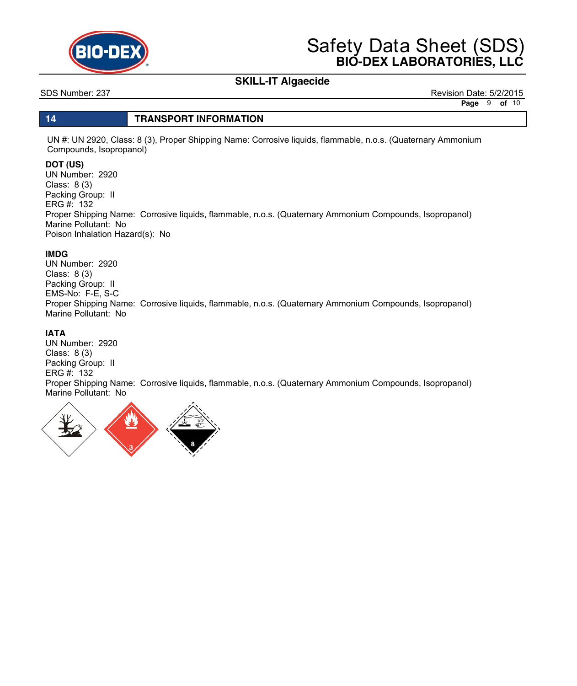

# **SKILL-IT Algaecide**

SDS Number: 237 Revision Date: 5/2/2015 **Page** 9 **of** 10

### **14 TRANSPORT INFORMATION**

UN #: UN 2920, Class: 8 (3), Proper Shipping Name: Corrosive liquids, flammable, n.o.s. (Quaternary Ammonium Compounds, Isopropanol)

### **DOT (US)**

UN Number: 2920 Class: 8 (3) Packing Group: II ERG #: 132 Proper Shipping Name: Corrosive liquids, flammable, n.o.s. (Quaternary Ammonium Compounds, Isopropanol) Marine Pollutant: No Poison Inhalation Hazard(s): No

### **IMDG**

UN Number: 2920 Class: 8 (3) Packing Group: II EMS-No: F-E, S-C Proper Shipping Name: Corrosive liquids, flammable, n.o.s. (Quaternary Ammonium Compounds, Isopropanol) Marine Pollutant: No

### **IATA**

UN Number: 2920 Class: 8 (3) Packing Group: II ERG #: 132 Proper Shipping Name: Corrosive liquids, flammable, n.o.s. (Quaternary Ammonium Compounds, Isopropanol) Marine Pollutant: No